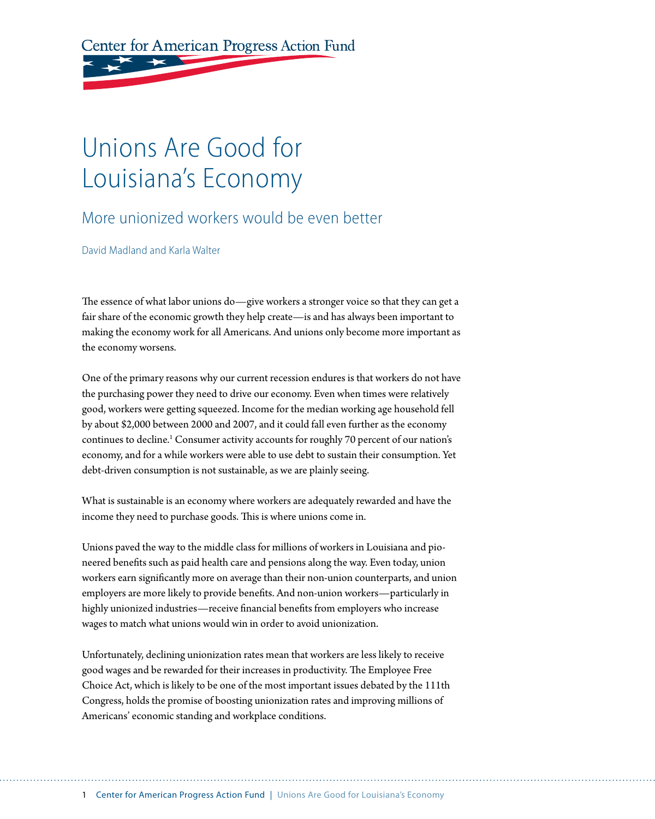Center for American Progress Action Fund

# Unions Are Good for Louisiana's Economy

#### More unionized workers would be even better

David Madland and Karla Walter

The essence of what labor unions do—give workers a stronger voice so that they can get a fair share of the economic growth they help create—is and has always been important to making the economy work for all Americans. And unions only become more important as the economy worsens.

One of the primary reasons why our current recession endures is that workers do not have the purchasing power they need to drive our economy. Even when times were relatively good, workers were getting squeezed. Income for the median working age household fell by about \$2,000 between 2000 and 2007, and it could fall even further as the economy continues to decline.<sup>1</sup> Consumer activity accounts for roughly 70 percent of our nation's economy, and for a while workers were able to use debt to sustain their consumption. Yet debt-driven consumption is not sustainable, as we are plainly seeing.

What is sustainable is an economy where workers are adequately rewarded and have the income they need to purchase goods. This is where unions come in.

Unions paved the way to the middle class for millions of workers in Louisiana and pioneered benefits such as paid health care and pensions along the way. Even today, union workers earn significantly more on average than their non-union counterparts, and union employers are more likely to provide benefits. And non-union workers—particularly in highly unionized industries—receive financial benefits from employers who increase wages to match what unions would win in order to avoid unionization.

Unfortunately, declining unionization rates mean that workers are less likely to receive good wages and be rewarded for their increases in productivity. The Employee Free Choice Act, which is likely to be one of the most important issues debated by the 111th Congress, holds the promise of boosting unionization rates and improving millions of Americans' economic standing and workplace conditions.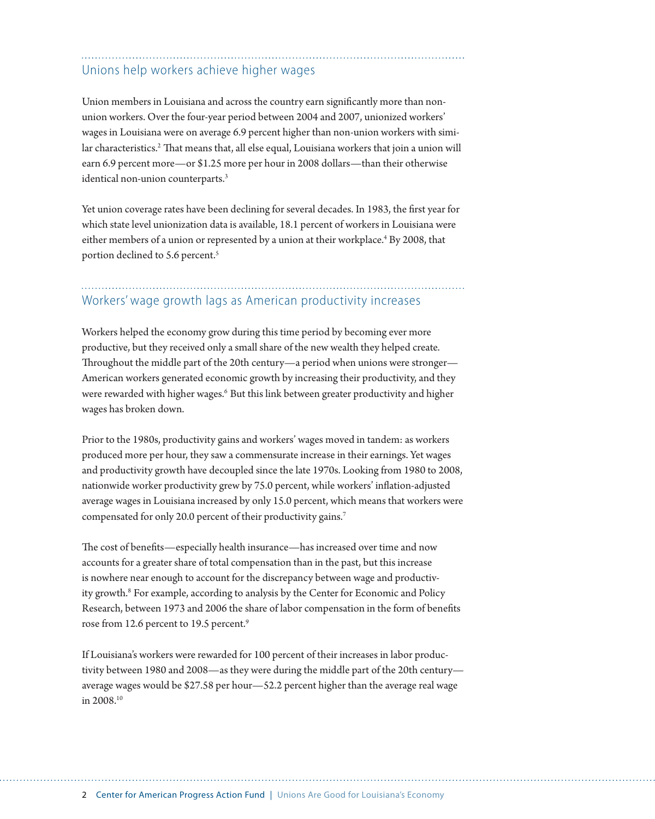#### Unions help workers achieve higher wages

Union members in Louisiana and across the country earn significantly more than nonunion workers. Over the four-year period between 2004 and 2007, unionized workers' wages in Louisiana were on average 6.9 percent higher than non-union workers with similar characteristics.<sup>2</sup> That means that, all else equal, Louisiana workers that join a union will earn 6.9 percent more—or \$1.25 more per hour in 2008 dollars—than their otherwise identical non-union counterparts.3

Yet union coverage rates have been declining for several decades. In 1983, the first year for which state level unionization data is available, 18.1 percent of workers in Louisiana were either members of a union or represented by a union at their workplace.<sup>4</sup> By 2008, that portion declined to 5.6 percent.<sup>5</sup>

### Workers' wage growth lags as American productivity increases

Workers helped the economy grow during this time period by becoming ever more productive, but they received only a small share of the new wealth they helped create. Throughout the middle part of the 20th century—a period when unions were stronger— American workers generated economic growth by increasing their productivity, and they were rewarded with higher wages.<sup>6</sup> But this link between greater productivity and higher wages has broken down.

Prior to the 1980s, productivity gains and workers' wages moved in tandem: as workers produced more per hour, they saw a commensurate increase in their earnings. Yet wages and productivity growth have decoupled since the late 1970s. Looking from 1980 to 2008, nationwide worker productivity grew by 75.0 percent, while workers' inflation-adjusted average wages in Louisiana increased by only 15.0 percent, which means that workers were compensated for only 20.0 percent of their productivity gains.<sup>7</sup>

The cost of benefits—especially health insurance—has increased over time and now accounts for a greater share of total compensation than in the past, but this increase is nowhere near enough to account for the discrepancy between wage and productivity growth.<sup>8</sup> For example, according to analysis by the Center for Economic and Policy Research, between 1973 and 2006 the share of labor compensation in the form of benefits rose from 12.6 percent to 19.5 percent.<sup>9</sup>

If Louisiana's workers were rewarded for 100 percent of their increases in labor productivity between 1980 and 2008—as they were during the middle part of the 20th century average wages would be \$27.58 per hour—52.2 percent higher than the average real wage in 2008.10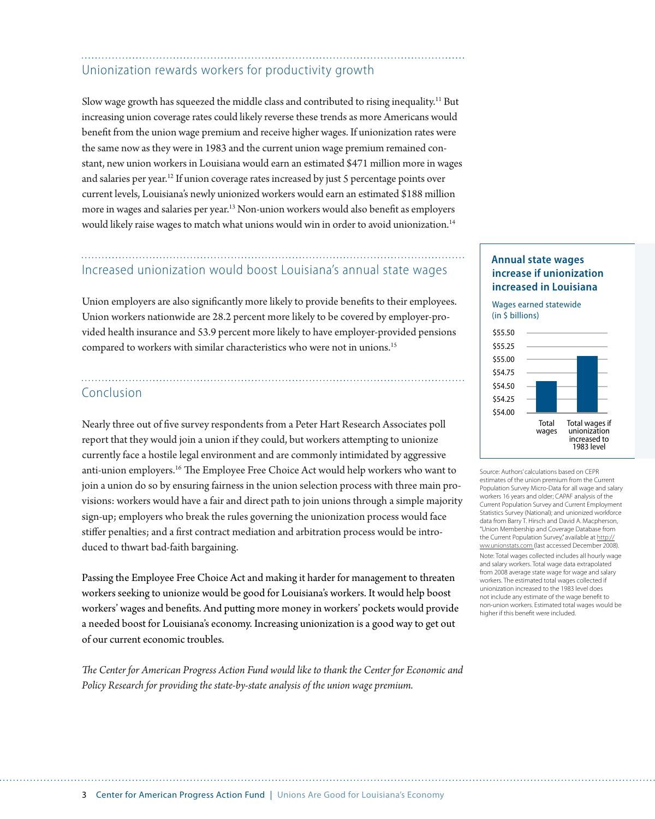### Unionization rewards workers for productivity growth

Slow wage growth has squeezed the middle class and contributed to rising inequality.11 But increasing union coverage rates could likely reverse these trends as more Americans would benefit from the union wage premium and receive higher wages. If unionization rates were the same now as they were in 1983 and the current union wage premium remained constant, new union workers in Louisiana would earn an estimated \$471 million more in wages and salaries per year.<sup>12</sup> If union coverage rates increased by just 5 percentage points over current levels, Louisiana's newly unionized workers would earn an estimated \$188 million more in wages and salaries per year.13 Non-union workers would also benefit as employers would likely raise wages to match what unions would win in order to avoid unionization.14

## Increased unionization would boost Louisiana's annual state wages

Union employers are also significantly more likely to provide benefits to their employees. Union workers nationwide are 28.2 percent more likely to be covered by employer-provided health insurance and 53.9 percent more likely to have employer-provided pensions compared to workers with similar characteristics who were not in unions.<sup>15</sup>

#### Conclusion

Nearly three out of five survey respondents from a Peter Hart Research Associates poll report that they would join a union if they could, but workers attempting to unionize currently face a hostile legal environment and are commonly intimidated by aggressive anti-union employers.16 The Employee Free Choice Act would help workers who want to join a union do so by ensuring fairness in the union selection process with three main provisions: workers would have a fair and direct path to join unions through a simple majority sign-up; employers who break the rules governing the unionization process would face stiffer penalties; and a first contract mediation and arbitration process would be introduced to thwart bad-faith bargaining.

Passing the Employee Free Choice Act and making it harder for management to threaten workers seeking to unionize would be good for Louisiana's workers. It would help boost workers' wages and benefits. And putting more money in workers' pockets would provide a needed boost for Louisiana's economy. Increasing unionization is a good way to get out of our current economic troubles.

*The Center for American Progress Action Fund would like to thank the Center for Economic and Policy Research for providing the state-by-state analysis of the union wage premium.*

#### **Annual state wages increase if unionization increased in Louisiana**

Wages earned statewide (in \$ billions)



Source: Authors' calculations based on CEPR estimates of the union premium from the Current Population Survey Micro-Data for all wage and salary workers 16 years and older; CAPAF analysis of the Current Population Survey and Current Employment Statistics Survey (National); and unionized workforce data from Barry T. Hirsch and David A. Macpherson, "Union Membership and Coverage Database from the Current Population Survey," available at http:// ww.unionstats.com (last accessed December 2008). Note: Total wages collected includes all hourly wage

and salary workers. Total wage data extrapolated from 2008 average state wage for wage and salary workers. The estimated total wages collected if unionization increased to the 1983 level does not include any estimate of the wage benefit to non-union workers. Estimated total wages would be higher if this benefit were included.